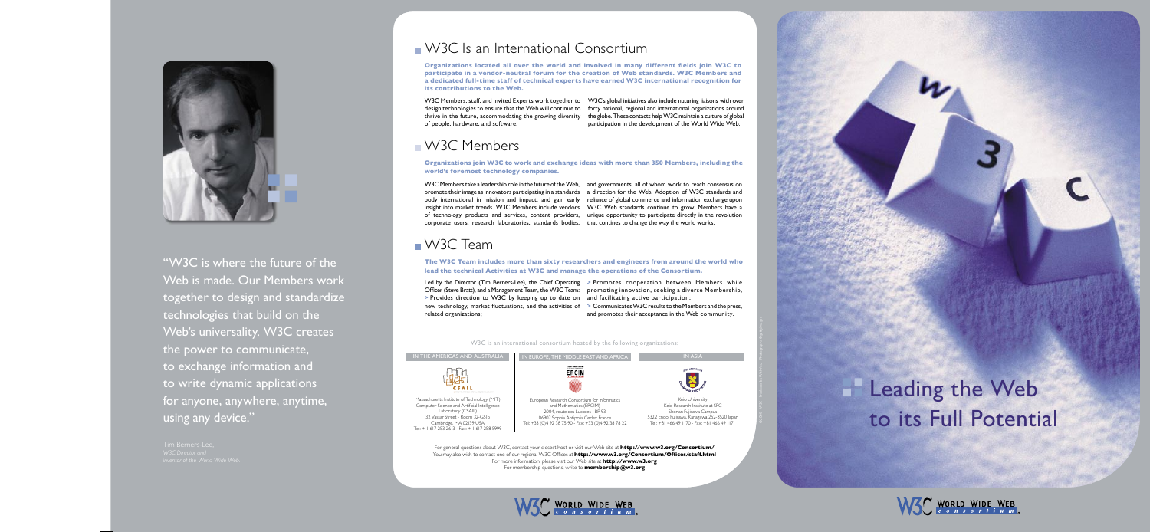## Leading the Web to its Full Potential *��������������� ���������������������*







For general questions about W3C, contact your closest host or visit our Web site at **http://www.w3.org/Consortium/** You may also wish to contact one of our regional W3C Offices at **http://www.w3.org/Consortium/Offices/staff.html** For more information, please visit our Web site at **http://www.w3.org** For membership questions, write to **membership@w3.org**





"W3C is where the future of the Web is made. Our Members work together to design and standardize technologies that build on the Web's universality. W3C creates the power to communicate, to exchange information and to write dynamic applications for anyone, anywhere, anytime, using any device."

# **NAMA** W3C Is an International Consortium

W3C is an international consortium hosted by the following organizations:

Massachusetts Institute of Technology (MIT) Computer Science and Artificial Intelligence Laboratory (CSAIL) 32 Vassar Street - Room 32-G515 Cambridge, MA 02139 USA Tel: + 1 617 253 2613 - Fax: + 1 617 258 5999

W3C Members, staff, and Invited Experts work together to W3C's global initiatives also include nuturing liaisons with over design technologies to ensure that the Web will continue to forty national, regional and international organizations around thrive in the future, accommodating the growing diversity the globe. These contacts help W3C maintain a culture of global of people, hardware, and software. participation in the development of the World Wide Web.

## **NAMAGE Members**

**Organizations located all over the world and involved in many different fields join W3C to participate in a vendor-neutral forum for the creation of Web standards. W3C Members and a dedicated full-time staff of technical experts have earned W3C international recognition for its contributions to the Web.**



W3C Members take a leadership role in the future of the Web, and governments, all of whom work to reach consensus on<br>promote their image as innovators participating in a standards and interction for the Web. Adoption of W3 promote their image as innovators participating in a standards a direction for the Web. Adoption of W3C standards and body international in mission and impact, and gain early reliance of global commerce and information exchange upon insight into market trends. W3C Members include vendors W3C Web standards continue to grow. Members have a of technology products and services, content providers, unique opportunity to participate directly in the revolution corporate users, research laboratories, standards bodies, that contines to change the way the world works.

# **N** W3C Team

### **ons join W3C to work and exchange ideas with more th:**<br>e<mark>most technology companies.</mark> **world's foremost technology companies.**

Led by the Director (Tim Berners-Lee), the Chief Operating > Promotes cooperation between Members while Officer (Steve Bratt), and a Management Team, the W3C Team: promoting innovation, seeking a diverse Membership, > Provides direction to W3C by keeping up to date on and facilitating active participation; new technology, market fluctuations, and the activities of > Communicates W3C results to the Members and the press, related organizations; and promotes their acceptance in the Web community.

# **IFRICAS AND AUSTRALI**



**The W3C Team includes more than sixty researchers and engineers from around the world who lead the technical Activities at W3C and manage the operations of the Consortium.**

**Organizations join W3C to work and exchange ideas with more than 350 Members, including the** 

©2005 - W3C - Produced by WithYou - Photographs ©gettyimages